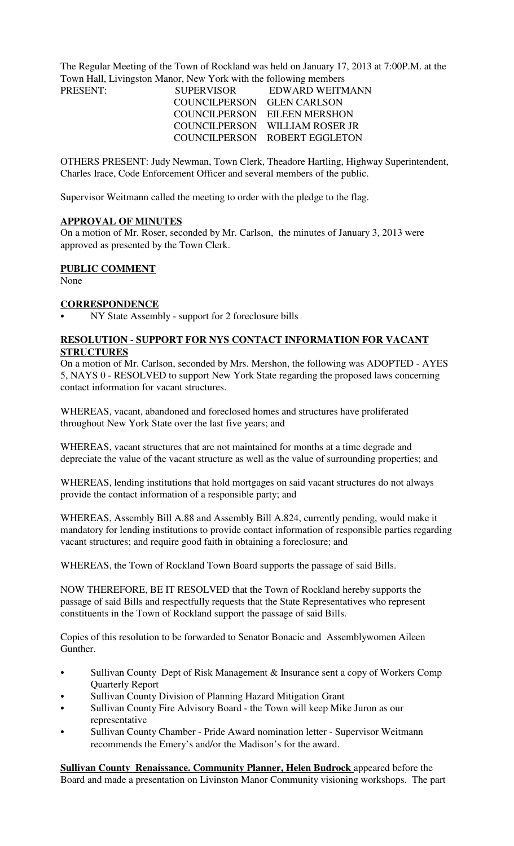The Regular Meeting of the Town of Rockland was held on January 17, 2013 at 7:00P.M. at the Town Hall, Livingston Manor, New York with the following members

| <b>SUPERVISOR</b>          | EDWARD WEITMANN                |
|----------------------------|--------------------------------|
| COUNCILPERSON GLEN CARLSON |                                |
|                            | COUNCILPERSON EILEEN MERSHON   |
|                            | COUNCILPERSON WILLIAM ROSER JR |
|                            | COUNCILPERSON ROBERT EGGLETON  |
|                            |                                |

OTHERS PRESENT: Judy Newman, Town Clerk, Theadore Hartling, Highway Superintendent, Charles Irace, Code Enforcement Officer and several members of the public.

Supervisor Weitmann called the meeting to order with the pledge to the flag.

#### **APPROVAL OF MINUTES**

On a motion of Mr. Roser, seconded by Mr. Carlson, the minutes of January 3, 2013 were approved as presented by the Town Clerk.

#### **PUBLIC COMMENT**

None

#### **CORRESPONDENCE**

NY State Assembly - support for 2 foreclosure bills

## **RESOLUTION - SUPPORT FOR NYS CONTACT INFORMATION FOR VACANT STRUCTURES**

On a motion of Mr. Carlson, seconded by Mrs. Mershon, the following was ADOPTED - AYES 5, NAYS 0 - RESOLVED to support New York State regarding the proposed laws concerning contact information for vacant structures.

WHEREAS, vacant, abandoned and foreclosed homes and structures have proliferated throughout New York State over the last five years; and

WHEREAS, vacant structures that are not maintained for months at a time degrade and depreciate the value of the vacant structure as well as the value of surrounding properties; and

WHEREAS, lending institutions that hold mortgages on said vacant structures do not always provide the contact information of a responsible party; and

WHEREAS, Assembly Bill A.88 and Assembly Bill A.824, currently pending, would make it mandatory for lending institutions to provide contact information of responsible parties regarding vacant structures; and require good faith in obtaining a foreclosure; and

WHEREAS, the Town of Rockland Town Board supports the passage of said Bills.

NOW THEREFORE, BE IT RESOLVED that the Town of Rockland hereby supports the passage of said Bills and respectfully requests that the State Representatives who represent constituents in the Town of Rockland support the passage of said Bills.

Copies of this resolution to be forwarded to Senator Bonacic and Assemblywomen Aileen Gunther.

- Sullivan County Dept of Risk Management & Insurance sent a copy of Workers Comp Quarterly Report
- Sullivan County Division of Planning Hazard Mitigation Grant
- Sullivan County Fire Advisory Board the Town will keep Mike Juron as our representative
- Sullivan County Chamber Pride Award nomination letter Supervisor Weitmann recommends the Emery's and/or the Madison's for the award.

**Sullivan County Renaissance. Community Planner, Helen Budrock appeared before the** Board and made a presentation on Livinston Manor Community visioning workshops. The part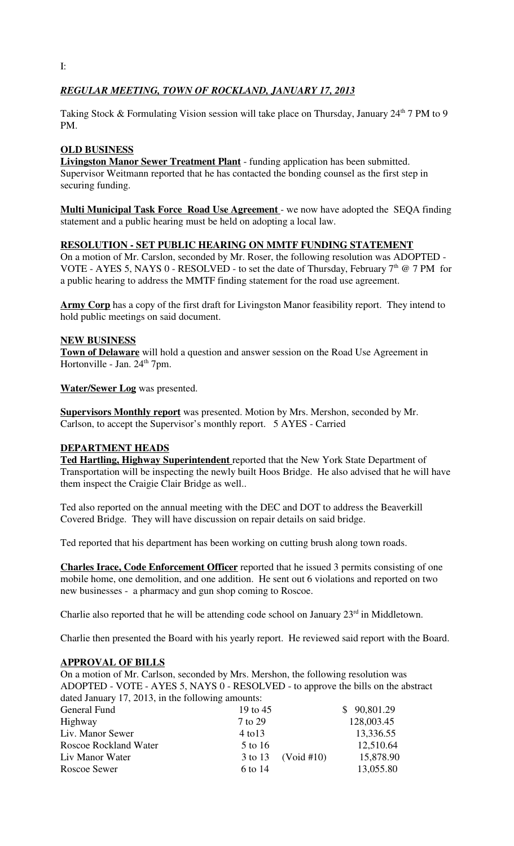# *REGULAR MEETING, TOWN OF ROCKLAND, JANUARY 17, 2013*

Taking Stock & Formulating Vision session will take place on Thursday, January 24<sup>th</sup> 7 PM to 9 PM.

# **OLD BUSINESS**

**Livingston Manor Sewer Treatment Plant** - funding application has been submitted. Supervisor Weitmann reported that he has contacted the bonding counsel as the first step in securing funding.

**Multi Municipal Task Force Road Use Agreement** - we now have adopted the SEQA finding statement and a public hearing must be held on adopting a local law.

## **RESOLUTION - SET PUBLIC HEARING ON MMTF FUNDING STATEMENT**

On a motion of Mr. Carslon, seconded by Mr. Roser, the following resolution was ADOPTED - VOTE - AYES 5, NAYS 0 - RESOLVED - to set the date of Thursday, February  $7<sup>th</sup>$  @ 7 PM for a public hearing to address the MMTF finding statement for the road use agreement.

**Army Corp** has a copy of the first draft for Livingston Manor feasibility report. They intend to hold public meetings on said document.

## **NEW BUSINESS**

**Town of Delaware** will hold a question and answer session on the Road Use Agreement in Hortonville - Jan.  $24<sup>th</sup>$  7pm.

**Water/Sewer Log** was presented.

**Supervisors Monthly report** was presented. Motion by Mrs. Mershon, seconded by Mr. Carlson, to accept the Supervisor's monthly report. 5 AYES - Carried

## **DEPARTMENT HEADS**

**Ted Hartling, Highway Superintendent** reported that the New York State Department of Transportation will be inspecting the newly built Hoos Bridge. He also advised that he will have them inspect the Craigie Clair Bridge as well..

Ted also reported on the annual meeting with the DEC and DOT to address the Beaverkill Covered Bridge. They will have discussion on repair details on said bridge.

Ted reported that his department has been working on cutting brush along town roads.

**Charles Irace, Code Enforcement Officer** reported that he issued 3 permits consisting of one mobile home, one demolition, and one addition. He sent out 6 violations and reported on two new businesses - a pharmacy and gun shop coming to Roscoe.

Charlie also reported that he will be attending code school on January  $23<sup>rd</sup>$  in Middletown.

Charlie then presented the Board with his yearly report. He reviewed said report with the Board.

## **APPROVAL OF BILLS**

On a motion of Mr. Carlson, seconded by Mrs. Mershon, the following resolution was ADOPTED - VOTE - AYES 5, NAYS 0 - RESOLVED - to approve the bills on the abstract dated January 17, 2013, in the following amounts:

| 19 to 45    | \$90,801.29        |
|-------------|--------------------|
| 7 to 29     | 128,003.45         |
| $4$ to $13$ | 13,336.55          |
| 5 to 16     | 12,510.64          |
|             | 15,878.90          |
| 6 to 14     | 13,055.80          |
|             | 3 to 13 (Void #10) |